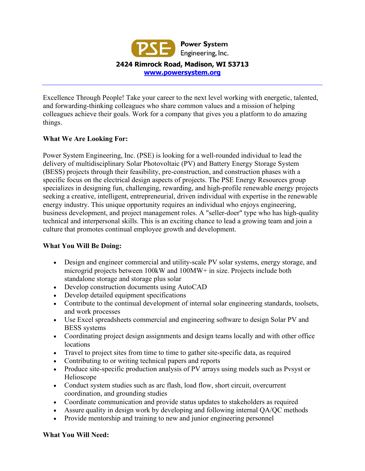

Excellence Through People! Take your career to the next level working with energetic, talented, and forwarding-thinking colleagues who share common values and a mission of helping colleagues achieve their goals. Work for a company that gives you a platform to do amazing things.

# **What We Are Looking For:**

Power System Engineering, Inc. (PSE) is looking for a well-rounded individual to lead the delivery of multidisciplinary Solar Photovoltaic (PV) and Battery Energy Storage System (BESS) projects through their feasibility, pre-construction, and construction phases with a specific focus on the electrical design aspects of projects. The PSE Energy Resources group specializes in designing fun, challenging, rewarding, and high-profile renewable energy projects seeking a creative, intelligent, entrepreneurial, driven individual with expertise in the renewable energy industry. This unique opportunity requires an individual who enjoys engineering, business development, and project management roles. A "seller-doer" type who has high-quality technical and interpersonal skills. This is an exciting chance to lead a growing team and join a culture that promotes continual employee growth and development.

# **What You Will Be Doing:**

- Design and engineer commercial and utility-scale PV solar systems, energy storage, and microgrid projects between 100kW and 100MW+ in size. Projects include both standalone storage and storage plus solar
- Develop construction documents using AutoCAD
- Develop detailed equipment specifications
- Contribute to the continual development of internal solar engineering standards, toolsets, and work processes
- Use Excel spreadsheets commercial and engineering software to design Solar PV and BESS systems
- Coordinating project design assignments and design teams locally and with other office locations
- Travel to project sites from time to time to gather site-specific data, as required
- Contributing to or writing technical papers and reports
- Produce site-specific production analysis of PV arrays using models such as Pvsyst or Helioscope
- Conduct system studies such as arc flash, load flow, short circuit, overcurrent coordination, and grounding studies
- Coordinate communication and provide status updates to stakeholders as required
- Assure quality in design work by developing and following internal QA/QC methods
- Provide mentorship and training to new and junior engineering personnel

# **What You Will Need:**